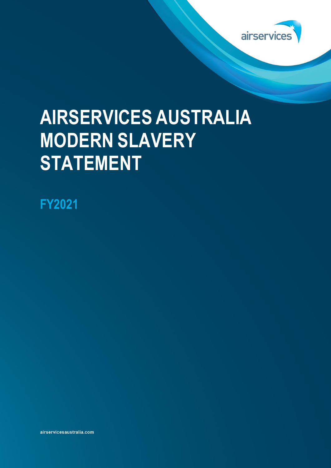

# **AIRSERVICES AUSTRALIA MODERN SLAVERY STATEMENT**

**FY2021**

airservicesaustralia.com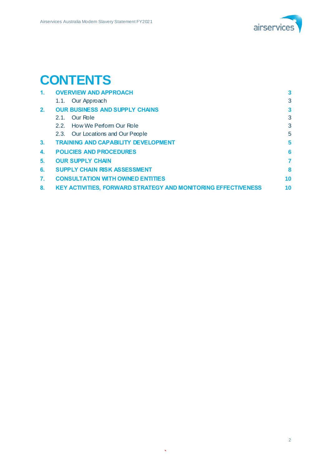

# **CONTENTS**

| $\mathbf{1}$ . | <b>OVERVIEW AND APPROACH</b>                                         | 3  |
|----------------|----------------------------------------------------------------------|----|
|                | 1.1. Our Approach                                                    | 3  |
| 2 <sub>1</sub> | <b>OUR BUSINESS AND SUPPLY CHAINS</b>                                | 3  |
|                | Our Role<br>2.1                                                      | 3  |
|                | 2.2. How We Perform Our Role                                         | 3  |
|                | 2.3. Our Locations and Our People                                    | 5  |
| 3 <sub>1</sub> | <b>TRAINING AND CAPABILITY DEVELOPMENT</b>                           | 5  |
| 4.             | <b>POLICIES AND PROCEDURES</b>                                       | 6  |
| 5.             | <b>OUR SUPPLY CHAIN</b>                                              | 7  |
| 6.             | <b>SUPPLY CHAIN RISK ASSESSMENT</b>                                  | 8  |
| 7.             | <b>CONSULTATION WITH OWNED ENTITIES</b>                              | 10 |
| $\bf{8}$ .     | <b>KEY ACTIVITIES, FORWARD STRATEGY AND MONITORING EFFECTIVENESS</b> | 10 |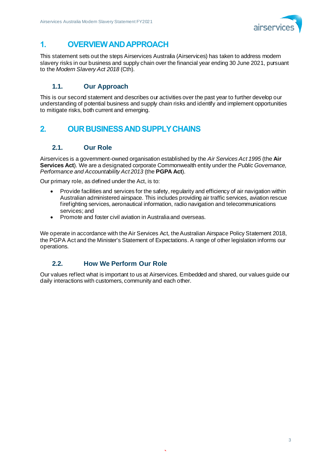

# **1. OVERVIEW AND APPROACH**

This statement sets out the steps Airservices Australia (Airservices) has taken to address modern slavery risks in our business and supply chain over the financial year ending 30 June 2021, pursuant to the *Modern Slavery Act 2018* (Cth).

### **1.1. Our Approach**

This is our second statement and describes our activities over the past year to further develop our understanding of potential business and supply chain risks and identify and implement opportunities to mitigate risks, both current and emerging.

# **2. OUR BUSINESS AND SUPPLY CHAINS**

#### **2.1. Our Role**

Airservices is a government-owned organisation established by the *Air Services Act 1995* (the **Air Services Act**). We are a designated corporate Commonwealth entity under the *Public Governance, Performance and Accountability Act 2013* (the **PGPA Act**).

Our primary role, as defined under the Act, is to:

- Provide facilities and services for the safety, regularity and efficiency of air navigation within Australian administered airspace. This includes providing air traffic services, aviation rescue firefighting services, aeronautical information, radio navigation and telecommunications services; and
- Promote and foster civil aviation in Australia and overseas.

We operate in accordance with the Air Services Act, the Australian Airspace Policy Statement 2018, the PGPA Act and the Minister's Statement of Expectations. A range of other legislation informs our operations.

#### **2.2. How We Perform Our Role**

Our values reflect what is important to us at Airservices. Embedded and shared, our values guide our daily interactions with customers, community and each other.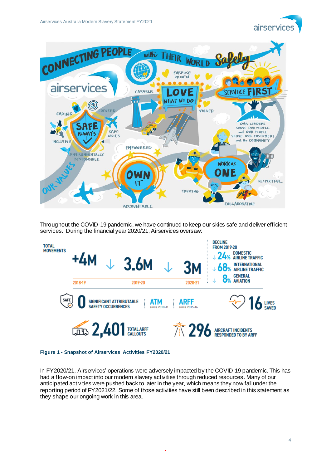



Throughout the COVID-19 pandemic, we have continued to keep our skies safe and deliver efficient services. During the financial year 2020/21, Airservices oversaw:



#### **Figure 1 - Snapshot of Airservices Activities FY2020/21**

In FY2020/21, Airservices' operations were adversely impacted by the COVID-19 pandemic. This has had a flow-on impact into our modern slavery activities through reduced resources. Many of our anticipated activities were pushed back to later in the year, which means they now fall under the reporting period of FY2021/22. Some of those activities have still been described in this statement as they shape our ongoing work in this area.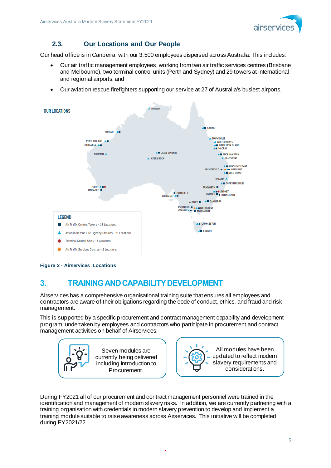

## **2.3. Our Locations and Our People**

Our head office is in Canberra, with our 3,500 employees dispersed across Australia. This includes:

- Our air traffic management employees, working from two air traffic services centres (Brisbane and Melbourne), two terminal control units (Perth and Sydney) and 29 towers at international and regional airports; and
- Our aviation rescue firefighters supporting our service at 27 of Australia's busiest airports.



**Figure 2 - Airservices Locations**

# **3. TRAINING AND CAPABILITY DEVELOPMENT**

Airservices has a comprehensive organisational training suite that ensures all employees and contractors are aware of their obligations regarding the code of conduct, ethics, and fraud and risk management.

This is supported by a specific procurement and contract management capability and development program, undertaken by employees and contractors who participate in procurement and contract management activities on behalf of Airservices.





All modules have been updated to reflect modern slavery requirements and considerations.

During FY2021 all of our procurement and contract management personnel were trained in the identification and management of modern slavery risks. In addition, we are currently partnering with a training organisation with credentials in modern slavery prevention to develop and implement a training module suitable to raise awareness across Airservices. This initiative will be completed during FY2021/22.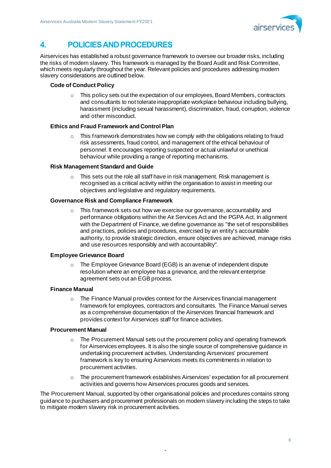

# **4. POLICIES AND PROCEDURES**

Airservices has established a robust governance framework to oversee our broader risks, including the risks of modern slavery. This framework is managed by the Board Audit and Risk Committee, which meets regularly throughout the year. Relevant policies and procedures addressing modern slavery considerations are outlined below.

#### **Code of Conduct Policy**

 $\circ$  This policy sets out the expectation of our employees. Board Members, contractors and consultants to not tolerate inappropriate workplace behaviour including bullying, harassment (including sexual harassment), discrimination, fraud, corruption, violence and other misconduct.

#### **Ethics and Fraud Framework and Control Plan**

 $\circ$  This framework demonstrates how we comply with the obligations relating to fraud risk assessments, fraud control, and management of the ethical behaviour of personnel. It encourages reporting suspected or actual unlawful or unethical behaviour while providing a range of reporting mechanisms.

#### **Risk Management Standard and Guide**

 $\circ$  This sets out the role all staff have in risk management. Risk management is recognised as a critical activity within the organisation to assist in meeting our objectives and legislative and regulatory requirements.

#### **Governance Risk and Compliance Framework**

 $\circ$  This framework sets out how we exercise our governance, accountability and performance obligations within the Air Services Act and the PGPA Act. In alignment with the Department of Finance, we define governance as "the set of responsibilities and practices, policies and procedures, exercised by an entity's accountable authority, to provide strategic direction, ensure objectives are achieved, manage risks and use resources responsibly and with accountability".

#### **Employee Grievance Board**

o The Employee Grievance Board (EGB) is an avenue of independent dispute resolution where an employee has a grievance, and the relevant enterprise agreement sets out an EGB process.

#### **Finance Manual**

o The Finance Manual provides context for the Airservices financial management framework for employees, contractors and consultants. The Finance Manual serves as a comprehensive documentation of the Airservices financial framework and provides context for Airservices staff for finance activities.

#### **Procurement Manual**

- The Procurement Manual sets out the procurement policy and operating framework for Airservices employees. It is also the single source of comprehensive guidance in undertaking procurement activities. Understanding Airservices' procurement framework is key to ensuring Airservices meets its commitments in relation to procurement activities.
- $\circ$  The procurement framework establishes Airservices' expectation for all procurement activities and governs how Airservices procures goods and services.

The Procurement Manual, supported by other organisational policies and procedures contains strong guidance to purchasers and procurement professionals on modern slavery including the steps to take to mitigate modern slavery risk in procurement activities.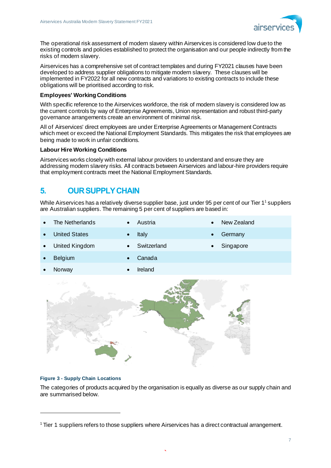

The operational risk assessment of modern slavery within Airservices is considered low due to the existing controls and policies established to protect the organisation and our people indirectly from the risks of modern slavery.

Airservices has a comprehensive set of contract templates and during FY2021 clauses have been developed to address supplier obligations to mitigate modern slavery. These clauses will be implemented in FY2022 for all new contracts and variations to existing contracts to include these obligations will be prioritised according to risk.

#### **Employees' Working Conditions**

With specific reference to the Airservices workforce, the risk of modern slavery is considered low as the current controls by way of Enterprise Agreements, Union representation and robust third-party governance arrangements create an environment of minimal risk.

All of Airservices' direct employees are under Enterprise Agreements or Management Contracts which meet or exceed the National Employment Standards. This mitigates the risk that employees are being made to work in unfair conditions.

#### **Labour Hire Working Conditions**

Airservices works closely with external labour providers to understand and ensure they are addressing modern slavery risks. All contracts between Airservices and labour-hire providers require that employment contracts meet the National Employment Standards.

# **5. OUR SUPPLY CHAIN**

While Airservices has a relatively diverse supplier base, just under 95 per cent of our Tier 1<sup>1</sup> suppliers are Australian suppliers. The remaining 5 per cent of suppliers are based in:

| The Netherlands      | $\bullet$ | Austria     | $\bullet$ | New Zealand |
|----------------------|-----------|-------------|-----------|-------------|
| <b>United States</b> | $\bullet$ | Italy       | $\bullet$ | Germany     |
| United Kingdom       | $\bullet$ | Switzerland | $\bullet$ | Singapore   |
| <b>Belgium</b>       |           | Canada      |           |             |
| Norway               | $\bullet$ | Ireland     |           |             |
|                      |           |             |           |             |



#### **Figure 3 - Supply Chain Locations**

The categories of products acquired by the organisation is equally as diverse as our supply chain and are summarised below.

<sup>1</sup> Tier 1 suppliers refers to those suppliers where Airservices has a direct contractual arrangement.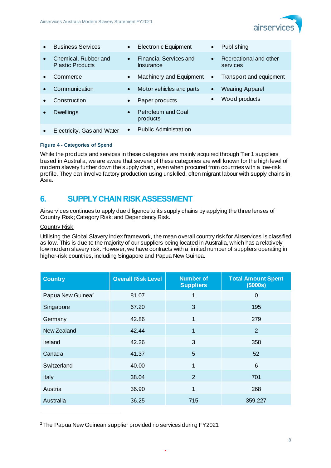

| $\bullet$ | <b>Business Services</b>                        | $\bullet$ | <b>Electronic Equipment</b>                | $\bullet$ | Publishing                         |
|-----------|-------------------------------------------------|-----------|--------------------------------------------|-----------|------------------------------------|
| $\bullet$ | Chemical, Rubber and<br><b>Plastic Products</b> | $\bullet$ | <b>Financial Services and</b><br>Insurance | $\bullet$ | Recreational and other<br>services |
|           | Commerce                                        | $\bullet$ | Machinery and Equipment                    | $\bullet$ | Transport and equipment            |
|           | Communication                                   | $\bullet$ | Motor vehicles and parts                   | $\bullet$ | <b>Wearing Apparel</b>             |
|           | Construction                                    | $\bullet$ | Paper products                             | $\bullet$ | Wood products                      |
|           | Dwellings                                       | $\bullet$ | Petroleum and Coal<br>products             |           |                                    |
|           | Electricity, Gas and Water                      | $\bullet$ | <b>Public Administration</b>               |           |                                    |

#### **Figure 4 - Categories of Spend**

While the products and services in these categories are mainly acquired through Tier 1 suppliers based in Australia, we are aware that several of these categories are well known for the high level of modern slavery further down the supply chain, even when procured from countries with a low-risk profile. They can involve factory production using unskilled, often migrant labour with supply chains in Asia.

# **6. SUPPLY CHAIN RISKASSESSMENT**

Airservices continues to apply due diligence to its supply chains by applying the three lenses of Country Risk; Category Risk; and Dependency Risk.

#### Country Risk

Utilising the Global Slavery Index framework, the mean overall country risk for Airservices is classified as low. This is due to the majority of our suppliers being located in Australia, which has a relatively low modern slavery risk. However, we have contracts with a limited number of suppliers operating in higher-risk countries, including Singapore and Papua New Guinea.

| <b>Country</b>                | <b>Overall Risk Level</b> | <b>Number of</b><br><b>Suppliers</b> | <b>Total Amount Spent</b><br>(\$000s) |
|-------------------------------|---------------------------|--------------------------------------|---------------------------------------|
| Papua New Guinea <sup>2</sup> | 81.07                     | 1                                    | $\mathbf 0$                           |
| Singapore                     | 67.20                     | 3                                    | 195                                   |
| Germany                       | 42.86                     | 1                                    | 279                                   |
| New Zealand                   | 42.44                     | 1                                    | 2                                     |
| Ireland                       | 42.26                     | 3                                    | 358                                   |
| Canada                        | 41.37                     | 5                                    | 52                                    |
| Switzerland                   | 40.00                     | 1                                    | 6                                     |
| Italy                         | 38.04                     | $\overline{2}$                       | 701                                   |
| Austria                       | 36.90                     | 1                                    | 268                                   |
| Australia                     | 36.25                     | 715                                  | 359,227                               |

<sup>2</sup> The Papua New Guinean supplier provided no services during FY2021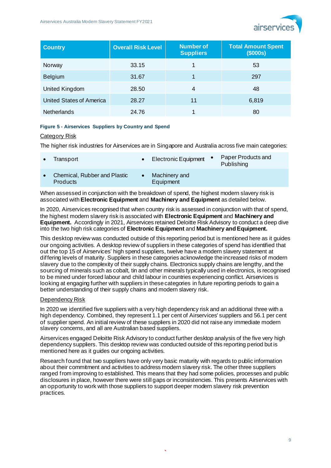

| <b>Country</b>                  | <b>Overall Risk Level</b> | Number of<br><b>Suppliers</b> | <b>Total Amount Spent</b><br>\$000s) |
|---------------------------------|---------------------------|-------------------------------|--------------------------------------|
| Norway                          | 33.15                     |                               | 53                                   |
| <b>Belgium</b>                  | 31.67                     |                               | 297                                  |
| United Kingdom                  | 28.50                     | 4                             | 48                                   |
| <b>United States of America</b> | 28.27                     | 11                            | 6,819                                |
| <b>Netherlands</b>              | 24.76                     |                               | 80                                   |

#### **Figure 5 - Airservices Suppliers by Country and Spend**

#### Category Risk

The higher risk industries for Airservices are in Singapore and Australia across five main categories:

| Transport                                       | Electronic Equipment •     | Paper Products and<br>Publishing |
|-------------------------------------------------|----------------------------|----------------------------------|
| Chemical, Rubber and Plastic<br><b>Products</b> | Machinery and<br>Equipment |                                  |

When assessed in conjunction with the breakdown of spend, the highest modern slavery risk is associated with **Electronic Equipment** and **Machinery and Equipment** as detailed below.

In 2020, Airservices recognised that when country risk is assessed in conjunction with that of spend, the highest modern slavery risk is associated with **Electronic Equipment** and **Machinery and Equipment.** Accordingly in 2021, Airservices retained Deloitte Risk Advisory to conduct a deep dive into the two high risk categories of **Electronic Equipment** and **Machinery and Equipment.**

This desktop review was conducted outside of this reporting period but is mentioned here as it guides our ongoing activities. A desktop review of suppliers in these categories of spend has identified that out the top 15 of Airservices' high spend suppliers, twelve have a modern slavery statement at differing levels of maturity. Suppliers in these categories acknowledge the increased risks of modern slavery due to the complexity of their supply chains. Electronics supply chains are lengthy, and the sourcing of minerals such as cobalt, tin and other minerals typically used in electronics, is recognised to be mined under forced labour and child labour in countries experiencing conflict. Airservices is looking at engaging further with suppliers in these categories in future reporting periods to gain a better understanding of their supply chains and modern slavery risk.

#### Dependency Risk

In 2020 we identified five suppliers with a very high dependency risk and an additional three with a high dependency. Combined, they represent 1.1 per cent of Airservices' suppliers and 56.1 per cent of supplier spend. An initial review of these suppliers in 2020 did not raise any immediate modern slavery concerns, and all are Australian based suppliers.

Airservices engaged Deloitte Risk Advisory to conduct further desktop analysis of the five very high dependency suppliers. This desktop review was conducted outside of this reporting period but is mentioned here as it guides our ongoing activities.

Research found that two suppliers have only very basic maturity with regards to public information about their commitment and activities to address modern slavery risk. The other three suppliers ranged from improving to established. This means that they had some policies, processes and public disclosures in place, however there were still gaps or inconsistencies. This presents Airservices with an opportunity to work with those suppliers to support deeper modern slavery risk prevention practices.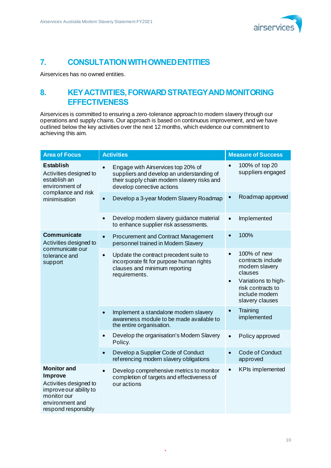

# **7. CONSULTATION WITH OWNED ENTITIES**

Airservices has no owned entities.

# **8. KEY ACTIVITIES, FORWARD STRATEGY AND MONITORING EFFECTIVENESS**

Airservices is committed to ensuring a zero-tolerance approach to modern slavery through our operations and supply chains. Our approach is based on continuous improvement, and we have outlined below the key activities over the next 12 months, which evidence our commitment to achieving this aim.

| <b>Area of Focus</b>                                                                                                                              | <b>Activities</b>                                                                                                                                            | <b>Measure of Success</b>                                                                                                                                                |  |  |
|---------------------------------------------------------------------------------------------------------------------------------------------------|--------------------------------------------------------------------------------------------------------------------------------------------------------------|--------------------------------------------------------------------------------------------------------------------------------------------------------------------------|--|--|
| <b>Establish</b><br>Activities designed to<br>establish an<br>environment of                                                                      | Engage with Airservices top 20% of<br>suppliers and develop an understanding of<br>their supply chain modern slavery risks and<br>develop corrective actions | 100% of top 20<br>suppliers engaged                                                                                                                                      |  |  |
| compliance and risk<br>minimisation                                                                                                               | Develop a 3-year Modern Slavery Roadmap<br>$\bullet$                                                                                                         | Roadmap approved                                                                                                                                                         |  |  |
|                                                                                                                                                   | Develop modern slavery guidance material<br>$\bullet$<br>to enhance supplier risk assessments.                                                               | Implemented<br>$\bullet$                                                                                                                                                 |  |  |
| <b>Communicate</b><br>Activities designed to                                                                                                      | <b>Procurement and Contract Management</b><br>$\bullet$<br>personnel trained in Modern Slavery                                                               | 100%                                                                                                                                                                     |  |  |
| communicate our<br>tolerance and<br>support                                                                                                       | Update the contract precedent suite to<br>$\bullet$<br>incorporate fit for purpose human rights<br>clauses and minimum reporting<br>requirements.            | 100% of new<br>$\bullet$<br>contracts include<br>modern slavery<br>clauses<br>Variations to high-<br>$\bullet$<br>risk contracts to<br>include modern<br>slavery clauses |  |  |
|                                                                                                                                                   | Implement a standalone modern slavery<br>awareness module to be made available to<br>the entire organisation.                                                | Training<br>implemented                                                                                                                                                  |  |  |
|                                                                                                                                                   | Develop the organisation's Modern Slavery<br>$\bullet$<br>Policy.                                                                                            | Policy approved<br>$\bullet$                                                                                                                                             |  |  |
|                                                                                                                                                   | Develop a Supplier Code of Conduct<br>$\bullet$<br>referencing modern slavery obligations                                                                    | <b>Code of Conduct</b><br>approved                                                                                                                                       |  |  |
| <b>Monitor and</b><br><b>Improve</b><br>Activities designed to<br>improve our ability to<br>monitor our<br>environment and<br>respond responsibly | Develop comprehensive metrics to monitor<br>$\bullet$<br>completion of targets and effectiveness of<br>our actions                                           | <b>KPIs implemented</b>                                                                                                                                                  |  |  |